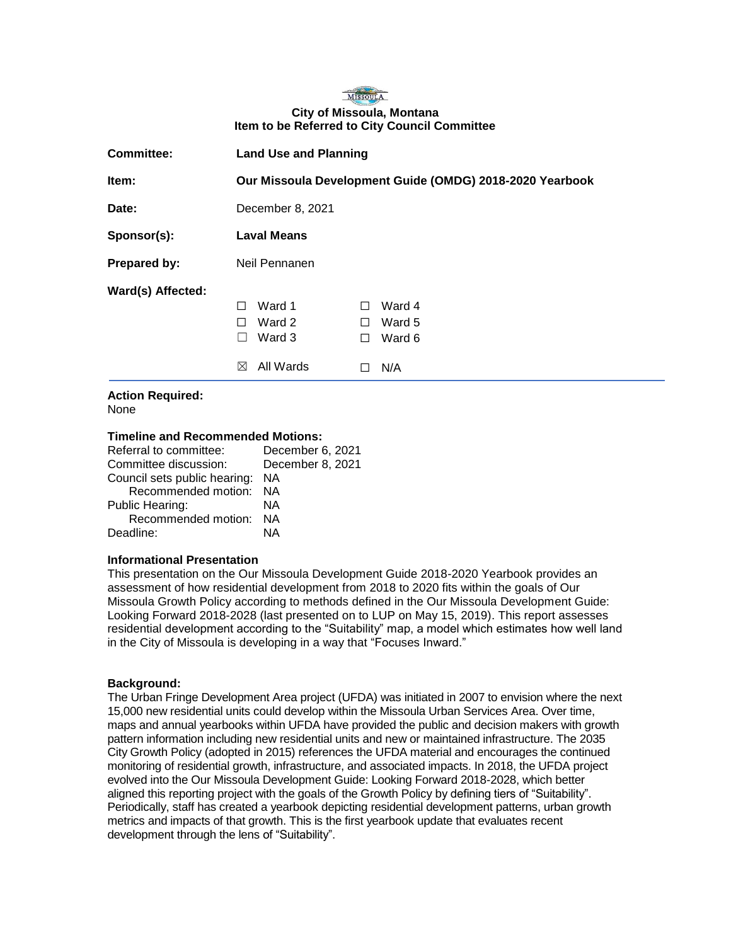#### MISSOULA **City of Missoula, Montana Item to be Referred to City Council Committee**

| <b>Committee:</b> | <b>Land Use and Planning</b>                                                                                                     |  |
|-------------------|----------------------------------------------------------------------------------------------------------------------------------|--|
| Item:             | Our Missoula Development Guide (OMDG) 2018-2020 Yearbook                                                                         |  |
| Date:             | December 8, 2021                                                                                                                 |  |
| Sponsor(s):       | <b>Laval Means</b>                                                                                                               |  |
| Prepared by:      | Neil Pennanen                                                                                                                    |  |
| Ward(s) Affected: | Ward 1<br>Ward 4<br>$\mathsf{L}$<br>Ward 2<br>Ward 5<br>П<br>Ward 3<br>Ward 6<br>$\Box$<br>$\mathsf{L}$<br>All Wards<br>⊠<br>N/A |  |

# **Action Required:**

None

#### **Timeline and Recommended Motions:**

| Referral to committee:       | December 6, 2021 |
|------------------------------|------------------|
| Committee discussion:        | December 8, 2021 |
| Council sets public hearing: | NA.              |
| Recommended motion: NA       |                  |
| Public Hearing:              | ΝA               |
| Recommended motion: NA       |                  |
| Deadline:                    | NΔ               |
|                              |                  |

#### **Informational Presentation**

This presentation on the Our Missoula Development Guide 2018-2020 Yearbook provides an assessment of how residential development from 2018 to 2020 fits within the goals of Our Missoula Growth Policy according to methods defined in the Our Missoula Development Guide: Looking Forward 2018-2028 (last presented on to LUP on May 15, 2019). This report assesses residential development according to the "Suitability" map, a model which estimates how well land in the City of Missoula is developing in a way that "Focuses Inward."

#### **Background:**

The Urban Fringe Development Area project (UFDA) was initiated in 2007 to envision where the next 15,000 new residential units could develop within the Missoula Urban Services Area. Over time, maps and annual yearbooks within UFDA have provided the public and decision makers with growth pattern information including new residential units and new or maintained infrastructure. The 2035 City Growth Policy (adopted in 2015) references the UFDA material and encourages the continued monitoring of residential growth, infrastructure, and associated impacts. In 2018, the UFDA project evolved into the Our Missoula Development Guide: Looking Forward 2018-2028, which better aligned this reporting project with the goals of the Growth Policy by defining tiers of "Suitability". Periodically, staff has created a yearbook depicting residential development patterns, urban growth metrics and impacts of that growth. This is the first yearbook update that evaluates recent development through the lens of "Suitability".